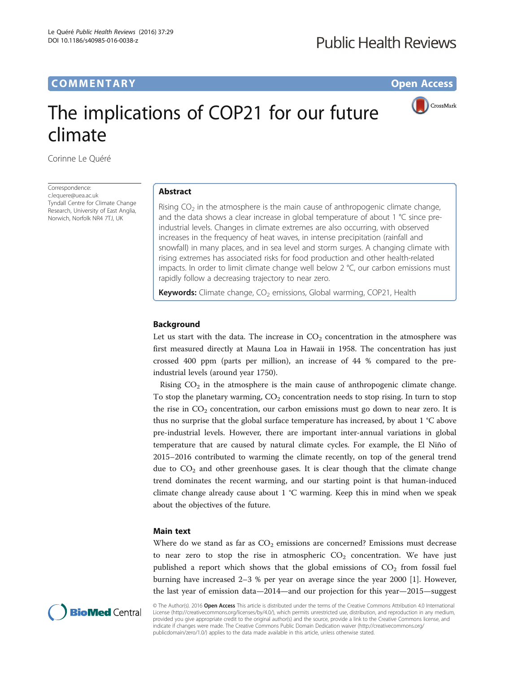# **COMMENTARY COMMENTARY Open Access**

CrossMark

# The implications of COP21 for our future climate

Corinne Le Quéré

**Correspondence** [c.lequere@uea.ac.uk](mailto:c.lequere@uea.ac.uk) Tyndall Centre for Climate Change Research, University of East Anglia, Norwich, Norfolk NR4 7TJ, UK

# Abstract

Rising  $CO<sub>2</sub>$  in the atmosphere is the main cause of anthropogenic climate change, and the data shows a clear increase in global temperature of about 1 °C since preindustrial levels. Changes in climate extremes are also occurring, with observed increases in the frequency of heat waves, in intense precipitation (rainfall and snowfall) in many places, and in sea level and storm surges. A changing climate with rising extremes has associated risks for food production and other health-related impacts. In order to limit climate change well below 2 °C, our carbon emissions must rapidly follow a decreasing trajectory to near zero.

**Keywords:** Climate change,  $CO<sub>2</sub>$  emissions, Global warming, COP21, Health

## Background

Let us start with the data. The increase in  $CO<sub>2</sub>$  concentration in the atmosphere was first measured directly at Mauna Loa in Hawaii in 1958. The concentration has just crossed 400 ppm (parts per million), an increase of 44 % compared to the preindustrial levels (around year 1750).

Rising  $CO<sub>2</sub>$  in the atmosphere is the main cause of anthropogenic climate change. To stop the planetary warming,  $CO<sub>2</sub>$  concentration needs to stop rising. In turn to stop the rise in  $CO<sub>2</sub>$  concentration, our carbon emissions must go down to near zero. It is thus no surprise that the global surface temperature has increased, by about 1 °C above pre-industrial levels. However, there are important inter-annual variations in global temperature that are caused by natural climate cycles. For example, the El Niño of 2015–2016 contributed to warming the climate recently, on top of the general trend due to  $CO<sub>2</sub>$  and other greenhouse gases. It is clear though that the climate change trend dominates the recent warming, and our starting point is that human-induced climate change already cause about 1 °C warming. Keep this in mind when we speak about the objectives of the future.

## Main text

Where do we stand as far as  $CO<sub>2</sub>$  emissions are concerned? Emissions must decrease to near zero to stop the rise in atmospheric  $CO<sub>2</sub>$  concentration. We have just published a report which shows that the global emissions of  $CO<sub>2</sub>$  from fossil fuel burning have increased 2–3 % per year on average since the year 2000 [\[1](#page-2-0)]. However, the last year of emission data—2014—and our projection for this year—2015—suggest



© The Author(s). 2016 Open Access This article is distributed under the terms of the Creative Commons Attribution 4.0 International License ([http://creativecommons.org/licenses/by/4.0/\)](http://creativecommons.org/licenses/by/4.0/), which permits unrestricted use, distribution, and reproduction in any medium, provided you give appropriate credit to the original author(s) and the source, provide a link to the Creative Commons license, and indicate if changes were made. The Creative Commons Public Domain Dedication waiver ([http://creativecommons.org/](http://creativecommons.org/publicdomain/zero/1.0/) [publicdomain/zero/1.0/\)](http://creativecommons.org/publicdomain/zero/1.0/) applies to the data made available in this article, unless otherwise stated.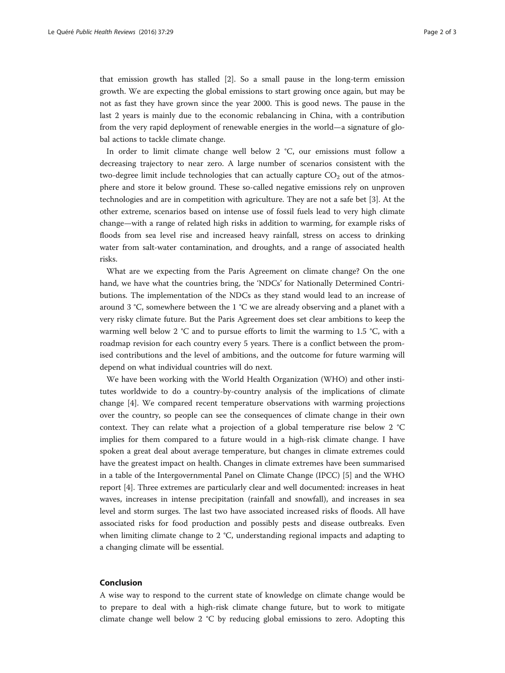that emission growth has stalled [[2\]](#page-2-0). So a small pause in the long-term emission growth. We are expecting the global emissions to start growing once again, but may be not as fast they have grown since the year 2000. This is good news. The pause in the last 2 years is mainly due to the economic rebalancing in China, with a contribution from the very rapid deployment of renewable energies in the world—a signature of global actions to tackle climate change.

In order to limit climate change well below 2 °C, our emissions must follow a decreasing trajectory to near zero. A large number of scenarios consistent with the two-degree limit include technologies that can actually capture  $CO<sub>2</sub>$  out of the atmosphere and store it below ground. These so-called negative emissions rely on unproven technologies and are in competition with agriculture. They are not a safe bet [\[3](#page-2-0)]. At the other extreme, scenarios based on intense use of fossil fuels lead to very high climate change—with a range of related high risks in addition to warming, for example risks of floods from sea level rise and increased heavy rainfall, stress on access to drinking water from salt-water contamination, and droughts, and a range of associated health risks.

What are we expecting from the Paris Agreement on climate change? On the one hand, we have what the countries bring, the 'NDCs' for Nationally Determined Contributions. The implementation of the NDCs as they stand would lead to an increase of around 3 °C, somewhere between the 1 °C we are already observing and a planet with a very risky climate future. But the Paris Agreement does set clear ambitions to keep the warming well below 2 °C and to pursue efforts to limit the warming to 1.5 °C, with a roadmap revision for each country every 5 years. There is a conflict between the promised contributions and the level of ambitions, and the outcome for future warming will depend on what individual countries will do next.

We have been working with the World Health Organization (WHO) and other institutes worldwide to do a country-by-country analysis of the implications of climate change [[4](#page-2-0)]. We compared recent temperature observations with warming projections over the country, so people can see the consequences of climate change in their own context. They can relate what a projection of a global temperature rise below 2 °C implies for them compared to a future would in a high-risk climate change. I have spoken a great deal about average temperature, but changes in climate extremes could have the greatest impact on health. Changes in climate extremes have been summarised in a table of the Intergovernmental Panel on Climate Change (IPCC) [\[5](#page-2-0)] and the WHO report [\[4\]](#page-2-0). Three extremes are particularly clear and well documented: increases in heat waves, increases in intense precipitation (rainfall and snowfall), and increases in sea level and storm surges. The last two have associated increased risks of floods. All have associated risks for food production and possibly pests and disease outbreaks. Even when limiting climate change to 2 °C, understanding regional impacts and adapting to a changing climate will be essential.

## Conclusion

A wise way to respond to the current state of knowledge on climate change would be to prepare to deal with a high-risk climate change future, but to work to mitigate climate change well below 2 °C by reducing global emissions to zero. Adopting this